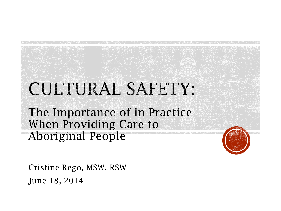# CULTURAL SAFETY:

The Importance of in Practice When Providing Care to Aboriginal People

Cristine Rego, MSW, RSW June 18, 2014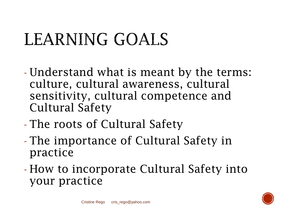# LEARNING GOALS

- Understand what is meant by the terms: culture, cultural awareness, cultural sensitivity, cultural competence and Cultural Safety
- The roots of Cultural Safety
- The importance of Cultural Safety in practice
- How to incorporate Cultural Safety into your practice

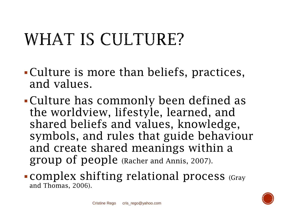# WHAT IS CULTURE?

- Culture is more than beliefs, practices, and values.
- Culture has commonly been defined as the worldview, lifestyle, learned, and shared beliefs and values, knowledge, symbols, and rules that guide behaviour and create shared meanings within a group of people (Racher and Annis, 2007).

#### • complex shifting relational process (Gray) and Thomas, 2006).

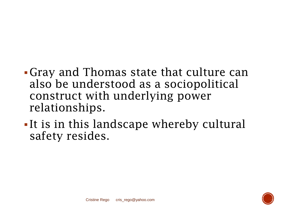- Gray and Thomas state that culture can also be understood as a sociopolitical construct with underlying power relationships.
- It is in this landscape whereby cultural safety resides.

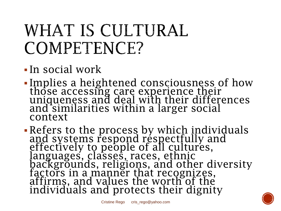### WHAT IS CULTURAL COMPETENCE?

### In social work

 Implies a heightened consciousness of how those accessing care experience their uniqueness and deal with their differences and similarities within a larger social context

• Refers to the process by which individuals and systems respond réspectfully and effectively to people of all cultures, languages, classes, races, ethnic backgrounds, religions, and other diversity factors in a manner that recognizes, affirms, and values the worth of the individuals and protects their dignity

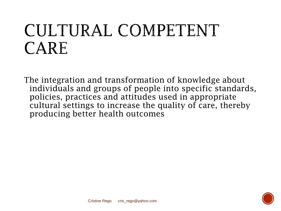### CULTURAL COMPETENT **CARE**

The integration and transformation of knowledge about individuals and groups of people into specific standards, policies, practices and attitudes used in appropriate cultural settings to increase the quality of care, thereby producing better health outcomes

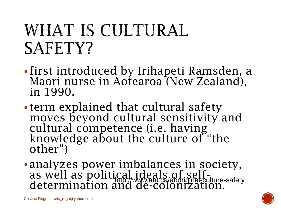### WHAT IS CULTURAL SAFETY?

- first introduced by Irihapeti Ramsden, a Maori nurse in Aotearoa (New Zealand), in 1990.
- term explained that cultural safety moves beyond cultural sensitivity and cultural competence (i.e. having knowledge about the culture of "the other")
- analyzes power imbalances in society, as well as political ideals of self-<br>determination and de-colonization. http://www.aht.ca/aboriginal-culture-safety

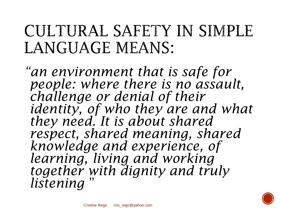### CULTURAL SAFETY IN SIMPLE LANGUAGE MEANS:

*"an environment that is safe for people: where there is no assault, challenge or denial of their identity, of who they are and what they need. It is about shared respect, shared meaning, shared knowledge and experience, of learning, living and working together with dignity and truly listening* 

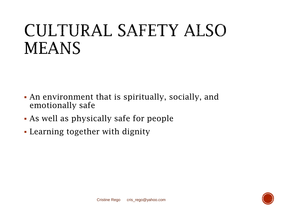### CULTURAL SAFETY ALSO **MEANS**

- An environment that is spiritually, socially, and emotionally safe
- As well as physically safe for people
- Learning together with dignity

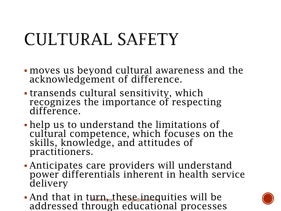# CULTURAL SAFETY

- moves us beyond cultural awareness and the acknowledgement of difference.
- transends cultural sensitivity, which recognizes the importance of respecting difference.
- help us to understand the limitations of cultural competence, which focuses on the skills, knowledge, and attitudes of practitioners.
- Anticipates care providers will understand power differentials inherent in health service delivery
- And that in turn, the se inequities will be addressed through educational processes

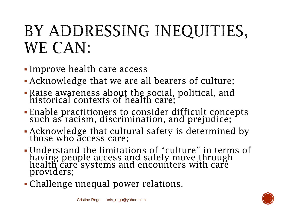### BY ADDRESSING INEQUITIES, **WE CAN:**

- Improve health care access
- Acknowledge that we are all bearers of culture;
- Raise awareness about the social, political, and historical contexts of health care;
- Enable practitioners to consider difficult concepts such as racism, discrimination, and prejudice;
- Acknowledge that cultural safety is determined by those who access care;
- Understand the limitations of "culture" in terms of having people access and safely move through health care systems and encounters with care providers;
- Challenge unequal power relations.

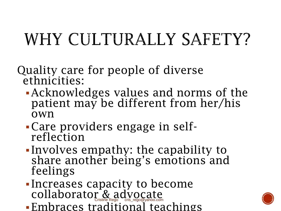# WHY CULTURALLY SAFETY?

Quality care for people of diverse ethnicities:

- Acknowledges values and norms of the patient may be different from her/his own
- Care providers engage in self- reflection
- Involves empathy: the capability to share another being's emotions and feelings
- Increases capacity to become collaborator & advocate
- Embraces traditional teachings

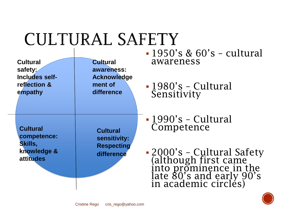### CULTURAL SAFETY

| <b>Cultural</b>                                   | <b>Cultural</b>                             | $-1950's & 60's - cultural$                                                                                                      |
|---------------------------------------------------|---------------------------------------------|----------------------------------------------------------------------------------------------------------------------------------|
| safety:                                           | awareness:                                  | awareness                                                                                                                        |
| Includes self-<br>reflection &<br>empathy         | <b>Acknowledge</b><br>ment of<br>difference | $-1980$ 's - Cultural<br>Sensitivity                                                                                             |
| <b>Cultural</b>                                   | <b>Cultural</b>                             | $-1990$ 's - Cultural                                                                                                            |
| competence:                                       | sensitivity:                                | Competence                                                                                                                       |
| <b>Skills,</b><br>knowledge &<br><b>attitudes</b> | <b>Respecting</b><br>difference             | - 2000's - Cultural Safety<br>(although first came<br>into prominence in the<br>late 80's and early 90's<br>in academic circles) |

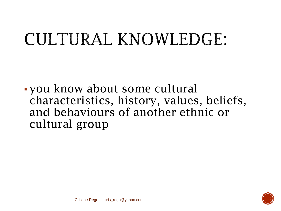## CULTURAL KNOWLEDGE:

you know about some cultural characteristics, history, values, beliefs, and behaviours of another ethnic or cultural group

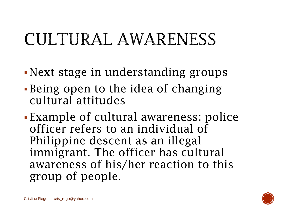## CULTURAL AWARENESS

- Next stage in understanding groups
- Being open to the idea of changing cultural attitudes
- Example of cultural awareness: police officer refers to an individual of Philippine descent as an illegal immigrant. The officer has cultural awareness of his/her reaction to this group of people.

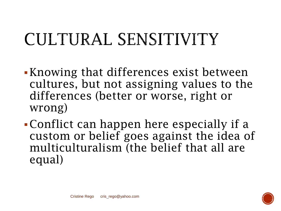# CULTURAL SENSITIVITY

- Knowing that differences exist between cultures, but not assigning values to the differences (better or worse, right or wrong)
- Conflict can happen here especially if a custom or belief goes against the idea of multiculturalism (the belief that all are equal)

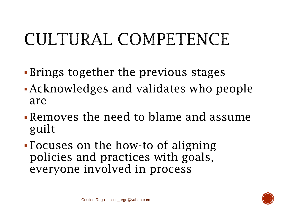# CULTURAL COMPETENCE

- Brings together the previous stages
- Acknowledges and validates who people are
- Removes the need to blame and assume guilt
- Focuses on the how-to of aligning policies and practices with goals, everyone involved in process

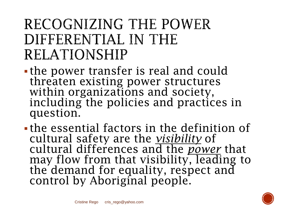### RECOGNIZING THE POWER DIFFERENTIAL IN THE **RELATIONSHIP**

- the power transfer is real and could threaten existing power structures within organizations and society, including the policies and practices in question.
- the essential factors in the definition of cultural safety are the *visibility* of cultural differences and the *power* that may flow from that visibility, leading to the demand for equality, respect and control by Aboriginal people.

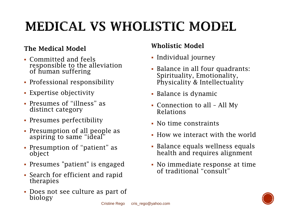### **MEDICAL VS WHOLISTIC MODEL**

#### The Medical Model

- Committed and feels responsible to the alleviation of human suffering
- Professional responsibility
- Expertise objectivity
- Presumes of "illness" as distinct category
- Presumes perfectibility
- Presumption of all people as aspiring to same "ideal"
- Presumption of "patient" as object
- Presumes "patient" is engaged
- Search for efficient and rapid therapies
- Does not see culture as part of biology

#### Wholistic Model

- Individual journey
- Balance in all four quadrants: Spirituality, Emotionality, Physicality & Intellectuality
- Balance is dynamic
- Connection to all All My Relations
- No time constraints
- How we interact with the world
- Balance equals wellness equals health and requires alignment
- No immediate response at time of traditional "consult"

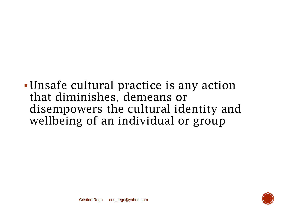### Unsafe cultural practice is any action that diminishes, demeans or disempowers the cultural identity and wellbeing of an individual or group

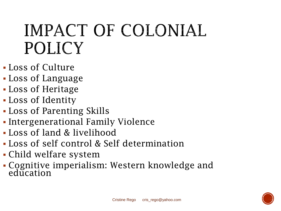### IMPACT OF COLONIAL POLICY

- Loss of Culture
- Loss of Language
- Loss of Heritage
- Loss of Identity
- Loss of Parenting Skills
- **Intergenerational Family Violence**
- Loss of land & livelihood
- Loss of self control & Self determination
- Child welfare system
- Cognitive imperialism: Western knowledge and education

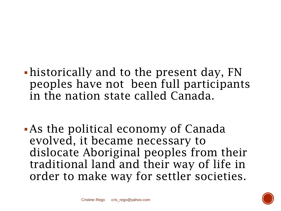- historically and to the present day, FN peoples have not been full participants in the nation state called Canada.
- As the political economy of Canada evolved, it became necessary to dislocate Aboriginal peoples from their traditional land and their way of life in order to make way for settler societies.

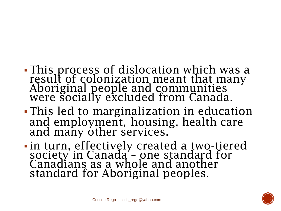#### This process of dislocation which was a result of colonization meant that many Aboriginal people and communities were socially excluded from Canada.

- This led to marginalization in education and employment, housing, health care and many other services.
- in turn, effectively created a two-tiered society in Canada – one standard for Canadians as a whole and another standard for Aboriginal peoples.

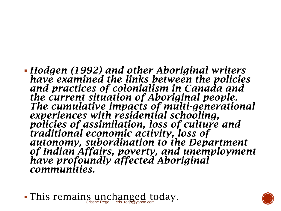*Hodgen (1992) and other Aboriginal writers have examined the links between the policies and practices of colonialism in Canada and the current situation of Aboriginal people. The cumulative impacts of multi-generational experiences with residential schooling, policies of assimilation, loss of culture and traditional economic activity, loss of autonomy, subordination to the Department of Indian Affairs, poverty, and unemployment have profoundly affected Aboriginal communities.* 



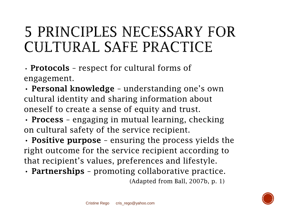### **5 PRINCIPLES NECESSARY FOR** CULTURAL SAFE PRACTICE

• **Protocols** - respect for cultural forms of engagement.

• Personal knowledge – understanding one's own cultural identity and sharing information about oneself to create a sense of equity and trust.

• Process - engaging in mutual learning, checking on cultural safety of the service recipient.

• Positive purpose - ensuring the process yields the right outcome for the service recipient according to that recipient's values, preferences and lifestyle.

• Partnerships - promoting collaborative practice.

(Adapted from Ball, 2007b, p. 1)

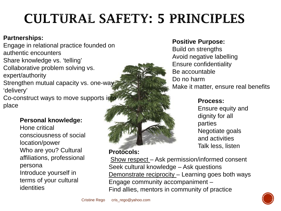### **CULTURAL SAFETY: 5 PRINCIPLES**

#### **Partnerships:**

Engage in relational practice founded on authentic encounters Share knowledge vs. 'telling' Collaborative problem solving vs. expert/authority Strengthen mutual capacity vs. one-way 'delivery' Co-construct ways to move supports in

place

#### **Personal knowledge:**

Hone critical consciousness of social location/power Who are you? Cultural affiliations, professional persona Introduce yourself in terms of your cultural identities

#### **Protocols:**

Show respect – Ask permission/informed consent Seek cultural knowledge – Ask questions Demonstrate reciprocity - Learning goes both ways Engage community accompaniment – Find allies, mentors in community of practice

#### **Positive Purpose:**

Build on strengths Avoid negative labelling Ensure confidentiality Be accountable Do no harm Make it matter, ensure real benefits

#### **Process:**

Ensure equity and dignity for all parties Negotiate goals and activities Talk less, listen

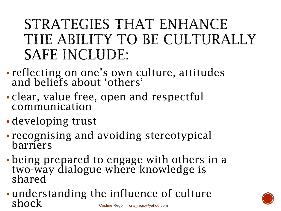### STRATEGIES THAT ENHANCE THE ABILITY TO BE CULTURALLY **SAFE INCLUDE:**

- reflecting on one's own culture, attitudes and beliefs about 'others'
- clear, value free, open and respectful communication
- developing trust
- recognising and avoiding stereotypical barriers
- being prepared to engage with others in a two-way dialogue where knowledge is<br>shared
- understanding the influence of culture  $\boldsymbol{\mathrm{sho}}$

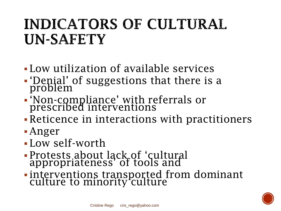### INDICATORS OF CULTURAL **UN-SAFETY**

- Low utilization of available services
- 'Denial' of suggestions that there is a problem
- 'Non-compliance' with referrals or prescribed interventions
- Reticence in interactions with practitioners
- Anger
- Low self-worth
- Protests about lack of 'cultural appropriateness' of tools and
- interventions transported from dominant culture to minority culture

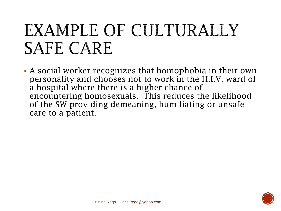### EXAMPLE OF CULTURALLY **SAFE CARE**

 A social worker recognizes that homophobia in their own personality and chooses not to work in the H.I.V. ward of a hospital where there is a higher chance of encountering homosexuals. This reduces the likelihood of the SW providing demeaning, humiliating or unsafe care to a patient.

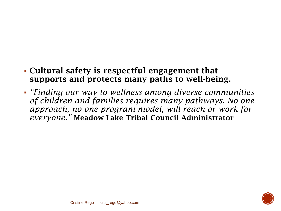#### Cultural safety is respectful engagement that supports and protects many paths to well-being.

 *"Finding our way to wellness among diverse communities of children and families requires many pathways. No one approach, no one program model, will reach or work for everyone."* Meadow Lake Tribal Council Administrator